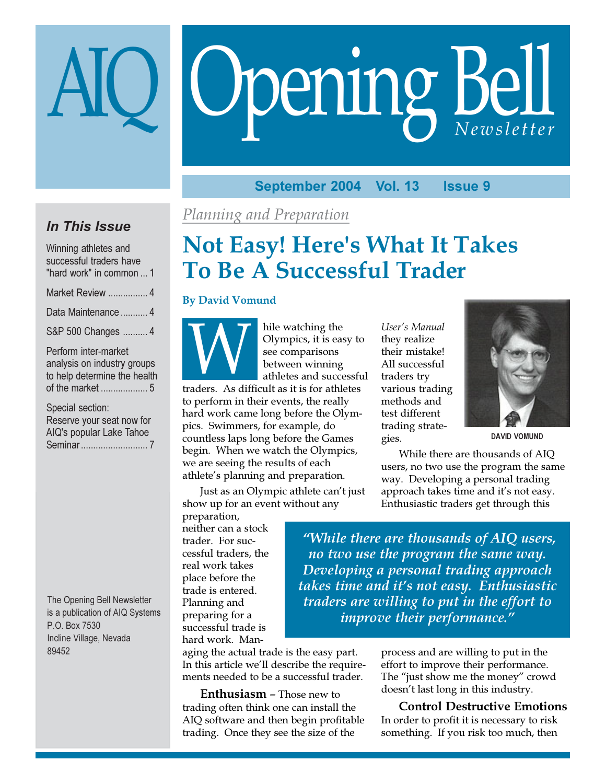# **Opening Bell** Newsletter

#### September 2004 **Vol. 13 Issue 9**

## **In This Issue**

Winning athletes and successful traders have "hard work" in common ... 1 Market Review ................ 4 Data Maintenance ........... 4 S&P 500 Changes .......... 4 Perform inter-market

analysis on industry groups to help determine the health 

Special section: Reserve your seat now for AIQ's popular Lake Tahoe 

The Opening Bell Newsletter is a publication of AIQ Systems P.O. Box 7530 Incline Village, Nevada 89452

## Planning and Preparation

# **Not Easy! Here's What It Takes To Be A Successful Trader**

## **By David Vomund**

hile watching the Olympics, it is easy to see comparisons between winning athletes and successful

traders. As difficult as it is for athletes to perform in their events, the really hard work came long before the Olympics. Swimmers, for example, do countless laps long before the Games begin. When we watch the Olympics, we are seeing the results of each athlete's planning and preparation.

Just as an Olympic athlete can't just show up for an event without any

preparation, neither can a stock trader. For successful traders, the real work takes place before the trade is entered. Planning and preparing for a successful trade is hard work. Man-

aging the actual trade is the easy part. In this article we'll describe the requirements needed to be a successful trader.

**Enthusiasm** – Those new to trading often think one can install the AIQ software and then begin profitable trading. Once they see the size of the

User's Manual they realize their mistake! All successful traders try various trading methods and test different trading strategies.



**DAVID VOMUND** 

While there are thousands of AIO users, no two use the program the same way. Developing a personal trading approach takes time and it's not easy. Enthusiastic traders get through this

"While there are thousands of AIQ users, no two use the program the same way. Developing a personal trading approach takes time and it's not easy. Enthusiastic traders are willing to put in the effort to improve their performance."

> process and are willing to put in the effort to improve their performance. The "just show me the money" crowd doesn't last long in this industry.

## **Control Destructive Emotions** In order to profit it is necessary to risk something. If you risk too much, then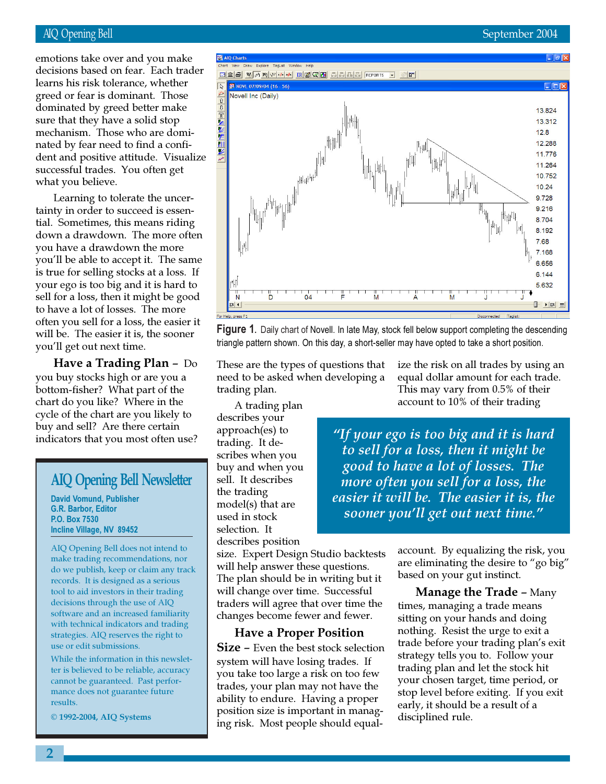## September 2004

## **AIQ Opening Bell**

emotions take over and you make decisions based on fear. Each trader learns his risk tolerance, whether greed or fear is dominant. Those dominated by greed better make sure that they have a solid stop mechanism. Those who are dominated by fear need to find a confident and positive attitude. Visualize successful trades. You often get what you believe.

Learning to tolerate the uncertainty in order to succeed is essential. Sometimes, this means riding down a drawdown. The more often you have a drawdown the more you'll be able to accept it. The same is true for selling stocks at a loss. If your ego is too big and it is hard to sell for a loss, then it might be good to have a lot of losses. The more often you sell for a loss, the easier it will be. The easier it is, the sooner you'll get out next time.

Have a Trading Plan - Do you buy stocks high or are you a bottom-fisher? What part of the chart do you like? Where in the cycle of the chart are you likely to buy and sell? Are there certain indicators that you most often use?

## **AIQ Opening Bell Newsletter**

**David Vomund, Publisher G.R. Barbor, Editor** P.O. Box 7530 Incline Village, NV 89452

AIQ Opening Bell does not intend to make trading recommendations, nor do we publish, keep or claim any track records. It is designed as a serious tool to aid investors in their trading decisions through the use of AIQ software and an increased familiarity with technical indicators and trading strategies. AIO reserves the right to use or edit submissions.

While the information in this newsletter is believed to be reliable, accuracy cannot be guaranteed. Past performance does not guarantee future results.

© 1992-2004, AIQ Systems



Figure 1. Daily chart of Novell. In late May, stock fell below support completing the descending triangle pattern shown. On this day, a short-seller may have opted to take a short position.

These are the types of questions that need to be asked when developing a trading plan.

A trading plan describes your approach(es) to trading. It describes when you buy and when you sell. It describes the trading model(s) that are used in stock selection. It describes position

size. Expert Design Studio backtests will help answer these questions. The plan should be in writing but it will change over time. Successful traders will agree that over time the changes become fewer and fewer.

## **Have a Proper Position**

**Size - Even the best stock selection** system will have losing trades. If you take too large a risk on too few trades, your plan may not have the ability to endure. Having a proper position size is important in managing risk. Most people should equalize the risk on all trades by using an equal dollar amount for each trade. This may vary from 0.5% of their account to 10% of their trading

"If your ego is too big and it is hard to sell for a loss, then it might be good to have a lot of losses. The more often you sell for a loss, the easier it will be. The easier it is, the sooner you'll get out next time."

> account. By equalizing the risk, you are eliminating the desire to "go big" based on your gut instinct.

> **Manage the Trade - Many** times, managing a trade means sitting on your hands and doing nothing. Resist the urge to exit a trade before your trading plan's exit strategy tells you to. Follow your trading plan and let the stock hit your chosen target, time period, or stop level before exiting. If you exit early, it should be a result of a disciplined rule.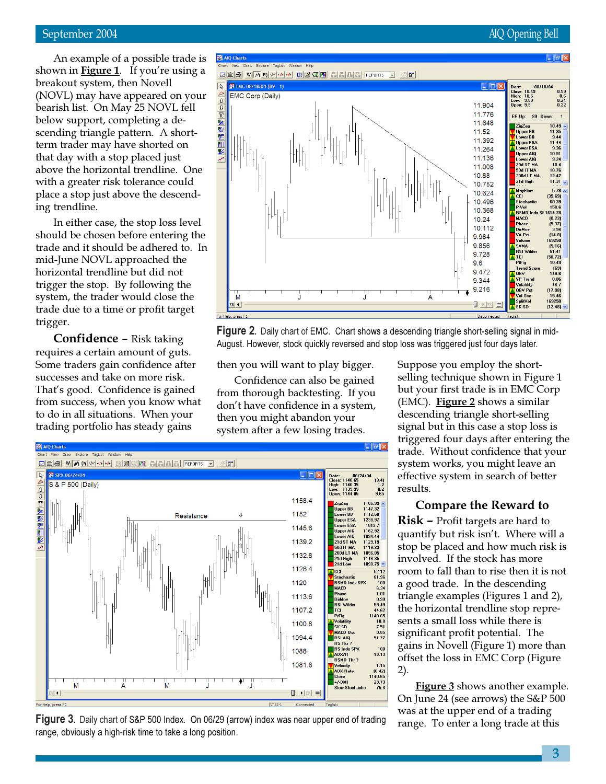## September 2004

An example of a possible trade is shown in **Figure 1**. If you're using a breakout system, then Novell (NOVL) may have appeared on your bearish list. On May 25 NOVL fell below support, completing a descending triangle pattern. A shortterm trader may have shorted on that day with a stop placed just above the horizontal trendline. One with a greater risk tolerance could place a stop just above the descending trendline.

In either case, the stop loss level should be chosen before entering the trade and it should be adhered to. In mid-June NOVL approached the horizontal trendline but did not trigger the stop. By following the system, the trader would close the trade due to a time or profit target trigger.

**Confidence –** Risk taking requires a certain amount of guts. Some traders gain confidence after successes and take on more risk. That's good. Confidence is gained from success, when you know what to do in all situations. When your trading portfolio has steady gains



Figure 2. Daily chart of EMC. Chart shows a descending triangle short-selling signal in mid-August. However, stock quickly reversed and stop loss was triggered just four days later.

then you will want to play bigger.

Confidence can also be gained from thorough backtesting. If you don't have confidence in a system, then you might abandon your system after a few losing trades.





Suppose you employ the shortselling technique shown in Figure 1 but your first trade is in EMC Corp (EMC). Figure 2 shows a similar descending triangle short-selling signal but in this case a stop loss is triggered four days after entering the trade. Without confidence that your system works, you might leave an effective system in search of better results.

## **Compare the Reward to**

**Risk –** Profit targets are hard to quantify but risk isn't. Where will a stop be placed and how much risk is involved. If the stock has more room to fall than to rise then it is not a good trade. In the descending triangle examples (Figures 1 and 2), the horizontal trendline stop represents a small loss while there is significant profit potential. The gains in Novell (Figure 1) more than offset the loss in EMC Corp (Figure  $2).$ 

**Figure 3** shows another example. On June 24 (see arrows) the S&P 500 was at the upper end of a trading range. To enter a long trade at this

## **AIQ Opening Bell**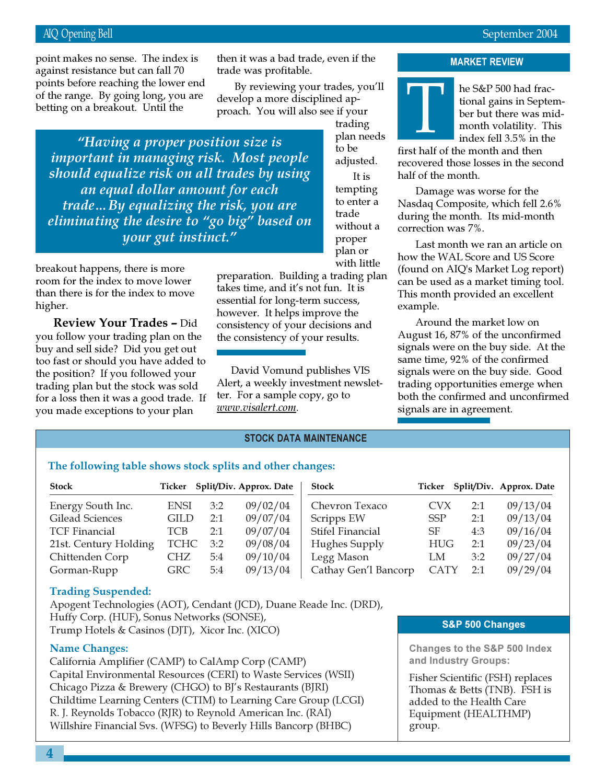#### **AIQ Opening Bell** Bell and the state of the state of the state of the state of the state of the state of the state of the Second

of the range. By going long, you are point makes no sense. The index is then it was a bad trade, even if the the the **MARKET REVIEW** against resistance but can fall 70 points before reaching the lower end betting on a breakout. Until the

then it was a bad trade*,* even if the trade was profitable.

By reviewing your trades, you'll develop a more disciplined approach. You will also see if your

"Having a proper position size is *important in managing risk. Most people* should equalize risk on all trades by using an equal dollar amount for each trade…By equalizing the risk, you are eliminating the desire to "go big" based on *uour gut instinct."* 

breakout happens*,* there is more room for the index to move lower than there is for the index to move higher.

All oir airs and the contract of the contract of the contract of the contract of the contract of the contract of the contract of the contract of the contract of the contract of the contract of the contract of the contract **Review Your Trades –** Did you follow your trading plan on the buy and sell side? Did you get out too fast or should you have added to the position? If you followed your trading plan but the stock was sold for a loss then it was a good trade. If you made exceptions to your plan

trading plan needs to be adjusted.  $\operatorname{It}$  is tempting to enter a trade without a proper plan or with little

preparation. Building a trading plan takes time, and it's not fun. It is essential for long-term success, however. It helps improve the consistency of your decisions and the consistency of your results.

David Vomund publishes VIS Alert, a weekly investment newsletter. For a sample copy, go to *- -
-*

## **MARKET REVI**



he S&P 500 had fractional gains in September but there was midmonth volatility. This index fell 3.5% in the

first half of the month and then recovered those losses in the second half of the month.

Damage was worse for the Nasdaq Composite, which fell 2.6% during the month. Its mid-month correction was 7%.

Last month we ran an article on how the WAL Score and US Score (found on AIQ's Market Log report) can be used as a market timing tool. This month provided an excellent example.

Around the market low on August 16, 87% of the unconfirmed signals were on the buy side. At the same time, 92% of the confirmed signals were on the buy side. Good trading opportunities emerge when both the confirmed and unconfirmed signals are in agreement.

## **STOCK DATA MAINTENANCE**

## The following table shows stock splits and other changes:

| Stock                 |             |     | Ticker Split/Div. Approx. Date | <b>Stock</b>         |             |     | Ticker Split/Div. Approx. Date |
|-----------------------|-------------|-----|--------------------------------|----------------------|-------------|-----|--------------------------------|
| Energy South Inc.     | <b>ENSI</b> | 3:2 | 09/02/04                       | Chevron Texaco       | <b>CVX</b>  | 2:1 | 09/13/04                       |
| Gilead Sciences       | <b>GILD</b> | 2:1 | 09/07/04                       | Scripps EW           | <b>SSP</b>  | 2:1 | 09/13/04                       |
| <b>TCF Financial</b>  | TCB         | 2:1 | 09/07/04                       | Stifel Financial     | SF          | 4:3 | 09/16/04                       |
| 21st. Century Holding | <b>TCHC</b> | 3:2 | 09/08/04                       | Hughes Supply        | <b>HUG</b>  | 2:1 | 09/23/04                       |
| Chittenden Corp       | CHZ.        | 5:4 | 09/10/04                       | Legg Mason           | LM          | 3:2 | 09/27/04                       |
| Gorman-Rupp           | <b>GRC</b>  | 5:4 | 09/13/04                       | Cathay Gen'l Bancorp | <b>CATY</b> | 2.1 | 09/29/04                       |

## **Trading Suspended:**

Apogent Technologies (AOT), Cendant (JCD), Duane Reade Inc. (DRD), Huffy Corp. (HUF), Sonus Networks (SONSE), Trump Hotels & Casinos (DJT), Xicor Inc. (XICO)

## **Name Changes:**

California Amplifier (CAMP) to CalAmp Corp (CAMP) Capital Environmental Resources (CERI) to Waste Services (WSII) Chicago Pizza & Brewery (CHGO) to BJ's Restaurants (BJRI) Childtime Learning Centers (CTIM) to Learning Care Group (LCGI) R. J. Reynolds Tobacco (RJR) to Reynold American Inc. (RAI) Willshire Financial Svs. (WFSG) to Beverly Hills Bancorp (BHBC)

#### S&P 500 Changes

**Changes to the S&P 500 Index** and Industry Groups:

Fisher Scientific (FSH) replaces Thomas & Betts (TNB). FSH is added to the Health Care Equipment (HEALTHMP) group.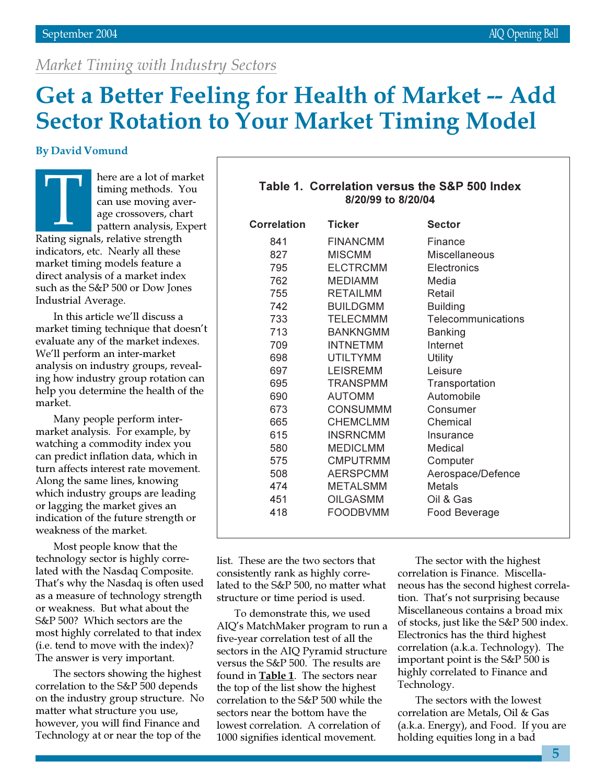## Market Timing with Industry Sectors

# **Get a Better Feeling for Health of Market -- Add Sector Rotation to Your Market Timing Model**

## **By David Vomund**

here are a lot of market timing methods. You can use moving average crossovers, chart pattern analysis, Expert Rating signals, relative strength indicators, etc. Nearly all these market timing models feature a direct analysis of a market index such as the S&P 500 or Dow Jones Industrial Average.

In this article we'll discuss a market timing technique that doesn't evaluate any of the market indexes. We'll perform an inter-market analysis on industry groups, revealing how industry group rotation can help you determine the health of the market.

Many people perform intermarket analysis. For example, by watching a commodity index you can predict inflation data, which in turn affects interest rate movement. Along the same lines, knowing which industry groups are leading or lagging the market gives an indication of the future strength or weakness of the market.

Most people know that the technology sector is highly correlated with the Nasdaq Composite. That's why the Nasdaq is often used as a measure of technology strength or weakness. But what about the S&P 500? Which sectors are the most highly correlated to that index (i.e. tend to move with the index)? The answer is very important.

The sectors showing the highest correlation to the S&P 500 depends on the industry group structure. No matter what structure you use, however, you will find Finance and Technology at or near the top of the

|                    | Table 1. Correlation versus the S&P 500 Index |  |  |  |  |  |
|--------------------|-----------------------------------------------|--|--|--|--|--|
| 8/20/99 to 8/20/04 |                                               |  |  |  |  |  |

| <b>Correlation</b> | <b>Ticker</b>   | <b>Sector</b>      |
|--------------------|-----------------|--------------------|
| 841                | <b>FINANCMM</b> | Finance            |
| 827                | <b>MISCMM</b>   | Miscellaneous      |
| 795                | <b>ELCTRCMM</b> | Electronics        |
| 762                | <b>MEDIAMM</b>  | Media              |
| 755                | <b>RETAILMM</b> | Retail             |
| 742                | <b>BUILDGMM</b> | <b>Building</b>    |
| 733                | <b>TELECMMM</b> | Telecommunications |
| 713                | <b>BANKNGMM</b> | <b>Banking</b>     |
| 709                | <b>INTNETMM</b> | Internet           |
| 698                | <b>UTILTYMM</b> | <b>Utility</b>     |
| 697                | <b>LEISREMM</b> | Leisure            |
| 695                | <b>TRANSPMM</b> | Transportation     |
| 690                | <b>AUTOMM</b>   | Automobile         |
| 673                | <b>CONSUMMM</b> | Consumer           |
| 665                | <b>CHEMCLMM</b> | Chemical           |
| 615                | <b>INSRNCMM</b> | Insurance          |
| 580                | <b>MEDICLMM</b> | Medical            |
| 575                | <b>CMPUTRMM</b> | Computer           |
| 508                | <b>AERSPCMM</b> | Aerospace/Defence  |
| 474                | <b>METALSMM</b> | <b>Metals</b>      |
| 451                | <b>OILGASMM</b> | Oil & Gas          |
| 418                | <b>FOODBVMM</b> | Food Beverage      |
|                    |                 |                    |

list. These are the two sectors that consistently rank as highly correlated to the S&P 500, no matter what structure or time period is used.

To demonstrate this, we used AIQ's MatchMaker program to run a five-year correlation test of all the sectors in the AIQ Pyramid structure versus the S&P 500. The results are found in Table 1. The sectors near the top of the list show the highest correlation to the S&P 500 while the sectors near the bottom have the lowest correlation. A correlation of 1000 signifies identical movement.

The sector with the highest correlation is Finance. Miscellaneous has the second highest correlation. That's not surprising because Miscellaneous contains a broad mix of stocks, just like the S&P 500 index. Electronics has the third highest correlation (a.k.a. Technology). The important point is the S&P 500 is highly correlated to Finance and Technology.

The sectors with the lowest correlation are Metals, Oil & Gas (a.k.a. Energy), and Food. If you are holding equities long in a bad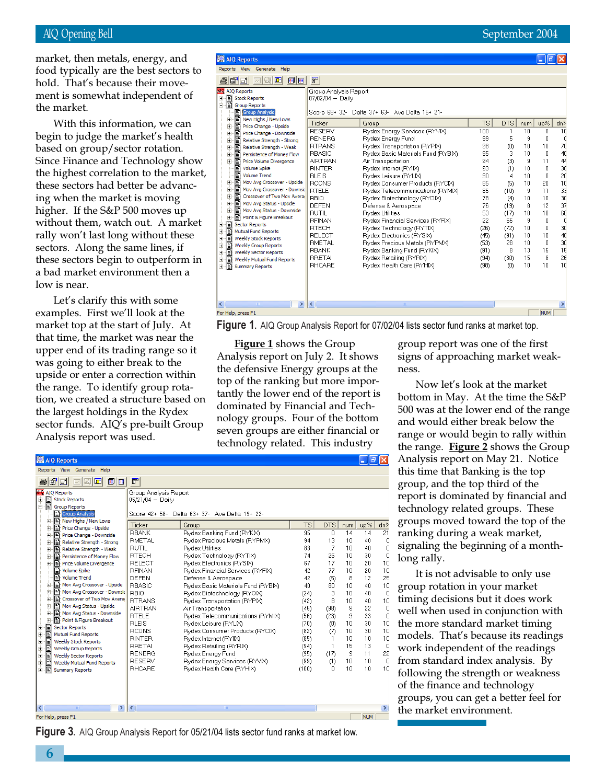market, then metals, energy, and food typically are the best sectors to hold. That's because their movement is somewhat independent of the market.

With this information, we can begin to judge the market's health based on group/sector rotation. Since Finance and Technology show the highest correlation to the market, these sectors had better be advancing when the market is moving higher. If the S&P 500 moves up without them, watch out. A market rally won't last long without these sectors. Along the same lines, if these sectors begin to outperform in a bad market environment then a low is near.

Let's clarify this with some examples. First we'll look at the market top at the start of July. At that time, the market was near the upper end of its trading range so it was going to either break to the upside or enter a correction within the range. To identify group rotation, we created a structure based on the largest holdings in the Rydex sector funds. AIQ's pre-built Group Analysis report was used.

| AIQ Reports                                                                                                                                                                                                                                                                                                                                                                                                                                                                                                                                                                                                                                                                                                                                                                                                                                                                                   |                                                                                                                                                                                                                                                                                                                                               |                                                                                                                                                                                                                                                                                                                                                                                                                                                                                                                                                                                                                                        |                                                                                                                                          |                                                                                                                                           |                                                                                                                  | a                                                                                                            |                                                                                                                                 |
|-----------------------------------------------------------------------------------------------------------------------------------------------------------------------------------------------------------------------------------------------------------------------------------------------------------------------------------------------------------------------------------------------------------------------------------------------------------------------------------------------------------------------------------------------------------------------------------------------------------------------------------------------------------------------------------------------------------------------------------------------------------------------------------------------------------------------------------------------------------------------------------------------|-----------------------------------------------------------------------------------------------------------------------------------------------------------------------------------------------------------------------------------------------------------------------------------------------------------------------------------------------|----------------------------------------------------------------------------------------------------------------------------------------------------------------------------------------------------------------------------------------------------------------------------------------------------------------------------------------------------------------------------------------------------------------------------------------------------------------------------------------------------------------------------------------------------------------------------------------------------------------------------------------|------------------------------------------------------------------------------------------------------------------------------------------|-------------------------------------------------------------------------------------------------------------------------------------------|------------------------------------------------------------------------------------------------------------------|--------------------------------------------------------------------------------------------------------------|---------------------------------------------------------------------------------------------------------------------------------|
| Reports View Generate Help                                                                                                                                                                                                                                                                                                                                                                                                                                                                                                                                                                                                                                                                                                                                                                                                                                                                    |                                                                                                                                                                                                                                                                                                                                               |                                                                                                                                                                                                                                                                                                                                                                                                                                                                                                                                                                                                                                        |                                                                                                                                          |                                                                                                                                           |                                                                                                                  |                                                                                                              |                                                                                                                                 |
| éif<br>圓圓<br>$\Box$ $\Box$<br>$\overline{\sim}$                                                                                                                                                                                                                                                                                                                                                                                                                                                                                                                                                                                                                                                                                                                                                                                                                                               | F                                                                                                                                                                                                                                                                                                                                             |                                                                                                                                                                                                                                                                                                                                                                                                                                                                                                                                                                                                                                        |                                                                                                                                          |                                                                                                                                           |                                                                                                                  |                                                                                                              |                                                                                                                                 |
| <b>   AIO Reports</b><br>E Stock Reports<br>Group Reports<br>Group Analysis<br>New Highs / New Lows<br>Ė<br>Ð<br>Price Change - Upside<br>Ė<br>Ð<br>Price Change - Downside<br>中<br>Ð<br>Relative Strength - Strong<br>Ė<br>Relative Strength - Weak<br>Ė<br>Persistence of Money Flow<br>Ė<br>Ð<br>Price Volume Divergence<br>÷.<br>Ð<br>Volume Spike<br>P<br><b>Volume Trend</b><br>n<br>Mov Avg Crossover - Upside<br>Ė<br>Ð<br>审<br>Mov Avg Crossover - Downsid<br>Ð<br>Crossover of Two Mov Avera<br>Ė<br>Mov Avg Status - Upside<br>Ė<br>Mov Avg Status - Downside<br>Ė<br>Point & Figure Breakout<br>Ė<br>Sector Reports<br>$\blacksquare$<br>郿<br>Mutual Fund Reports<br>田<br>P<br><b>Weekly Stock Reports</b><br>Ė<br>P<br>Weekly Group Reports<br>Ė<br>F<br><b>Weekly Sector Reports</b><br>Ė<br>Ð<br>Weekly Mutual Fund Reports<br>$\overline{+}$<br>ė P<br><b>Summary Reports</b> | Group Analysis Report<br>$07/02/04 -$ Daily<br>Ticker<br>RESERV<br><b>RENERG</b><br><b>RTRANS</b><br><b>RBASIC</b><br><b>AIRTRAN</b><br><b>RINTER</b><br><b>RLEIS</b><br><b>RCONS</b><br><b>RTELE</b><br>RBIO<br>DEFEN<br><b>RUTIL</b><br><b>REINAN</b><br><b>RTECH</b><br>RELECT<br>RMETAL<br><b>RBANK</b><br><b>RRETAI</b><br><b>RHCARE</b> | Score 68+ 32- Delta 37+ 63- Ave Delta 15+ 21-<br>Group<br>Rydex Energy Services (RYVIX)<br>Rydex Energy Fund<br>Rydex Transportation (RYPIX)<br>Rydex Basic Materials Fund (RYBIX)<br>Air Transportation<br>Rydex Internet (RYIIX)<br>Rydex Leisure (RYLIX)<br>Rydex Consumer Products (RYCIX)<br>Rydex Telecommunications (RYMIX)<br>Rydex Biotechnology (RYOIX)<br>Defense & Aerospace<br><b>Rydex Utilities</b><br>Rydex Financial Services (RYFIX)<br>Rydex Technology (RYTIX)<br>Rydex Electronics (RYSIX)<br>Rydex Precious Metals (RYPMX)<br>Rydex Banking Fund (RYKIX)<br>Rydex Retailing (RYRIX)<br>Rydex Health Care (RYHIX) | <b>TS</b><br>100<br>99<br>98<br>95<br>94<br>93<br>90<br>85<br>85<br>78<br>76<br>53<br>22<br>(26)<br>(45)<br>(53)<br>(91)<br>(94)<br>(98) | <b>DTS</b><br>1<br>5<br>(0)<br>3<br>(3)<br>(1)<br>4<br>(5)<br>(10)<br>(4)<br>(19)<br>(17)<br>55<br>(72)<br>(91)<br>28<br>8<br>(30)<br>(0) | num<br>10<br>9<br>10<br>10<br>9<br>10<br>10<br>10<br>9<br>10<br>8<br>10<br>9<br>10<br>10<br>10<br>13<br>15<br>10 | up%<br>0<br>0<br>10<br>0<br>11<br>0<br>U<br>20<br>11<br>10<br>12<br>10<br>n<br>0<br>10<br>0<br>15<br>6<br>10 | dn <sup>o</sup><br>10<br>O<br>70<br>40<br>44<br>30<br>20<br>10<br>33<br>30<br>37<br>60<br>0<br>30<br>40<br>30<br>15<br>26<br>10 |
| $\rightarrow$<br>≺                                                                                                                                                                                                                                                                                                                                                                                                                                                                                                                                                                                                                                                                                                                                                                                                                                                                            | ∢                                                                                                                                                                                                                                                                                                                                             | $\rm HII$                                                                                                                                                                                                                                                                                                                                                                                                                                                                                                                                                                                                                              |                                                                                                                                          |                                                                                                                                           |                                                                                                                  |                                                                                                              |                                                                                                                                 |
| For Help, press F1                                                                                                                                                                                                                                                                                                                                                                                                                                                                                                                                                                                                                                                                                                                                                                                                                                                                            |                                                                                                                                                                                                                                                                                                                                               |                                                                                                                                                                                                                                                                                                                                                                                                                                                                                                                                                                                                                                        |                                                                                                                                          |                                                                                                                                           |                                                                                                                  | <b>NUM</b>                                                                                                   |                                                                                                                                 |
|                                                                                                                                                                                                                                                                                                                                                                                                                                                                                                                                                                                                                                                                                                                                                                                                                                                                                               |                                                                                                                                                                                                                                                                                                                                               |                                                                                                                                                                                                                                                                                                                                                                                                                                                                                                                                                                                                                                        |                                                                                                                                          |                                                                                                                                           |                                                                                                                  |                                                                                                              |                                                                                                                                 |

**Figure 1.** AIQ Group Analysis Report for 07/02/04 lists sector fund ranks at market top.

 $\Box$ a $\times$ 

**Figure 1 shows the Group** Analysis report on July 2. It shows the defensive Energy groups at the top of the ranking but more importantly the lower end of the report is dominated by Financial and Technology groups. Four of the bottom seven groups are either financial or technology related. This industry

|       | group report was one of the first |
|-------|-----------------------------------|
|       | signs of approaching market weak- |
| ness. |                                   |

September 2004

Now let's look at the market bottom in May. At the time the S&P 500 was at the lower end of the range and would either break below the range or would begin to rally within the range. Figure 2 shows the Group Analysis report on May 21. Notice this time that Banking is the top group, and the top third of the report is dominated by financial and technology related groups. These groups moved toward the top of the ranking during a weak market, signaling the beginning of a monthlong rally.

It is not advisable to only use group rotation in your market timing decisions but it does work well when used in conjunction with the more standard market timing models. That's because its readings work independent of the readings from standard index analysis. By following the strength or weakness of the finance and technology groups, you can get a better feel for the market environment.

| Reports View<br>Generate Help                                                                                                                                                                                                                                                                                                                                                                                                                                                                                                                                                  |                                                                                                                                                                                                                                                           |                                                                                                                                                                                                                                                                                                                                                                                                                                    |                                                                                           |                                                                                |                                                                          |                                                                             |                                                                                                         |
|--------------------------------------------------------------------------------------------------------------------------------------------------------------------------------------------------------------------------------------------------------------------------------------------------------------------------------------------------------------------------------------------------------------------------------------------------------------------------------------------------------------------------------------------------------------------------------|-----------------------------------------------------------------------------------------------------------------------------------------------------------------------------------------------------------------------------------------------------------|------------------------------------------------------------------------------------------------------------------------------------------------------------------------------------------------------------------------------------------------------------------------------------------------------------------------------------------------------------------------------------------------------------------------------------|-------------------------------------------------------------------------------------------|--------------------------------------------------------------------------------|--------------------------------------------------------------------------|-----------------------------------------------------------------------------|---------------------------------------------------------------------------------------------------------|
| 厠<br>fie<br>ê,<br>m<br>围                                                                                                                                                                                                                                                                                                                                                                                                                                                                                                                                                       | F                                                                                                                                                                                                                                                         |                                                                                                                                                                                                                                                                                                                                                                                                                                    |                                                                                           |                                                                                |                                                                          |                                                                             |                                                                                                         |
| <b>四</b> AIO Reports<br>Ð<br><b>Stock Reports</b><br>由<br>Ð<br><b>Group Reports</b><br>Ė<br>Group Analysis<br>탈 New Highs / New Lows<br>$\overline{+}$<br>Price Change - Upside<br>Ė<br>Price Change - Downside<br>Ė<br>Relative Strength - Strong<br>$\overline{+}$<br>E Relative Strength - Weak<br>Ė<br>Ð<br>Persistence of Money Flow<br>审<br>Price Volume Divergence<br>审<br>Volume Spike<br>圕<br><b>Volume Trend</b><br>Mov Avg Crossover - Upside<br>匣<br>Ð<br>Mov Avg Crossover - Downsic<br>由<br>Ð<br>Crossover of Two Mov Avera<br>由<br>Mov Avg Status - Upside<br>由 | Group Analysis Report<br>05/21/04 - Daily<br>Ticker<br><b>RBANK</b><br><b>RMETAL</b><br><b>RUTIL</b><br><b>RTECH</b><br><b>RELECT</b><br><b>RFINAN</b><br><b>DEFEN</b><br><b>RBASIC</b><br><b>RBIO</b><br><b>BTRANS</b><br><b>AIRTRAN</b><br><b>RTELE</b> | Score 42+ 58- Delta 63+ 37- Ave Delta 19+ 22-<br>Group<br>Rydex Banking Fund (RYKIX)<br>Rydex Precious Metals (RYPMX)<br><b>Rydex Utilities</b><br>Rydex Technology (RYTIX)<br>Rydex Electronics (RYSIX)<br>Rydex Financial Services (RYFIX)<br>Defense & Aerospace<br>Rydex Basic Materials Fund (RYBIX)<br>Rydex Biotechnology (RYOIX)<br>Rydex Transportation (RYPIX)<br>Air Transportation<br>Rydex Telecommunications (RYMIX) | <b>TS</b><br>95<br>94<br>83<br>74<br>67<br>42<br>42<br>40<br>(24)<br>(42)<br>(45)<br>(56) | DTS<br>n.<br>13<br>7<br>26<br>17<br>77<br>(5)<br>80<br>3.<br>8<br>(98)<br>(23) | num<br>14<br>10<br>10<br>10<br>10<br>10<br>8<br>10<br>10<br>10<br>9<br>9 | up%<br>14<br>40<br>40<br>30<br>20<br>20<br>12<br>40<br>40<br>40<br>22<br>33 | dn <sup>o</sup><br>21<br>£<br>C<br>$\mathbf{C}$<br>10<br>10<br>25<br>10<br>C<br>10<br>c<br>$\mathbf{C}$ |
| Point & Figure Breakout<br>Ė<br>Ð<br><b>Sector Reports</b><br>$\overline{+}$<br>Ð<br><b>Mutual Fund Reports</b><br>Ė<br>P<br><b>Weekly Stock Reports</b><br>Ė<br>E<br><b>Weekly Group Reports</b><br>$\overline{+}$<br>F<br><b>Weekly Sector Reports</b><br>Ė<br>F<br>Weekly Mutual Fund Reports<br>$\overline{+}$<br>Ð<br><b>Summary Reports</b><br>Ŧ<br>∢<br>×<br>IIII.                                                                                                                                                                                                      | <b>RLEIS</b><br><b>RCONS</b><br><b>RINTER</b><br><b>RRETA</b><br><b>RENERG</b><br><b>RESERV</b><br><b>RHCARE</b><br>₹                                                                                                                                     | Rydex Leisure (RYLIX)<br>Rydex Consumer Products (RYCIX)<br>Rydex Internet (RYIIX)<br>Rydex Retailing (RYRIX)<br>Rydex Energy Fund<br>Rydex Energy Services (RYVIX)<br>Rydex Health Care (RYHIX)<br>m.                                                                                                                                                                                                                             | (70)<br>(82)<br>(85)<br>(94)<br>(95)<br>(99)<br>(100)                                     | (0)<br>(7)<br>$\mathbf{1}$<br>1<br>(17)<br>(1)<br>n.                           | 10<br>10<br>10<br>15<br>9<br>10<br>10                                    | 30<br>30<br>10<br>13<br>11<br>10<br>10                                      | 10<br>10<br>10<br>C<br>22<br>C<br>10<br>≯                                                               |
| For Help, press F1                                                                                                                                                                                                                                                                                                                                                                                                                                                                                                                                                             |                                                                                                                                                                                                                                                           |                                                                                                                                                                                                                                                                                                                                                                                                                                    |                                                                                           |                                                                                |                                                                          | <b>NUM</b>                                                                  |                                                                                                         |

Figure 3. AIQ Group Analysis Report for 05/21/04 lists sector fund ranks at market low.

AIO Reports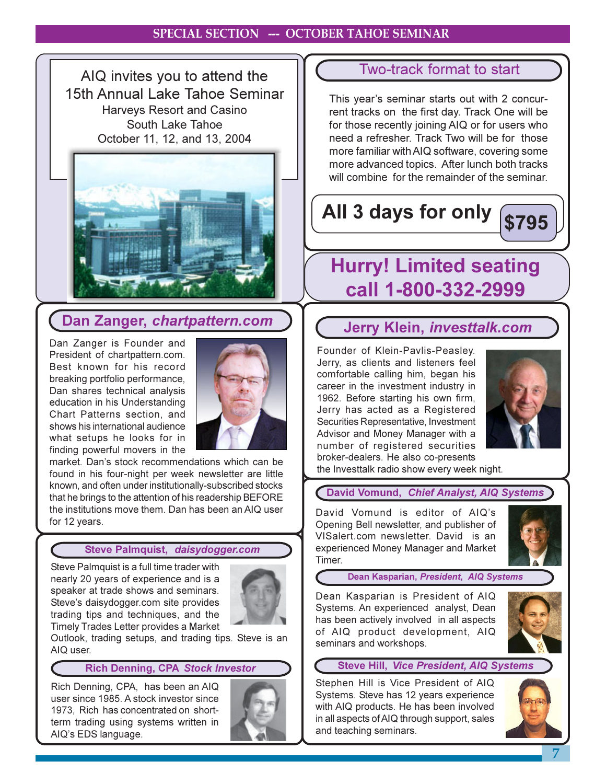## **SPECIAL SECTION --- OCTOBER TAHOE SEMINAR**

AIQ invites you to attend the 15th Annual Lake Tahoe Seminar **Harveys Resort and Casino** South Lake Tahoe October 11, 12, and 13, 2004



## Dan Zanger, chartpattern.com

Dan Zanger is Founder and President of chartpattern.com. Best known for his record breaking portfolio performance, Dan shares technical analysis education in his Understanding Chart Patterns section, and shows his international audience what setups he looks for in finding powerful movers in the



market. Dan's stock recommendations which can be found in his four-night per week newsletter are little known, and often under institutionally-subscribed stocks that he brings to the attention of his readership BEFORE the institutions move them. Dan has been an AIQ user for 12 years.

## Steve Palmquist, daisydogger.com

Steve Palmquist is a full time trader with nearly 20 years of experience and is a speaker at trade shows and seminars. Steve's daisydogger.com site provides trading tips and techniques, and the Timely Trades Letter provides a Market



Outlook, trading setups, and trading tips. Steve is an AIQ user.

## **Rich Denning, CPA Stock Investor**

Rich Denning, CPA, has been an AIQ user since 1985. A stock investor since 1973. Rich has concentrated on shortterm trading using systems written in AIQ's EDS language.



## **Two-track format to start**

This year's seminar starts out with 2 concurrent tracks on the first day. Track One will be for those recently joining AIQ or for users who need a refresher. Track Two will be for those more familiar with AIQ software, covering some more advanced topics. After lunch both tracks will combine for the remainder of the seminar.

# All 3 days for only



# **Hurry! Limited seating** call 1-800-332-2999

## Jerry Klein, investtalk.com

Founder of Klein-Pavlis-Peasley. Jerry, as clients and listeners feel comfortable calling him, began his career in the investment industry in 1962. Before starting his own firm, Jerry has acted as a Registered Securities Representative, Investment Advisor and Money Manager with a number of registered securities broker-dealers. He also co-presents



the Investtalk radio show every week night.

## David Vomund, Chief Analyst, AIQ Systems

David Vomund is editor of AIQ's Opening Bell newsletter, and publisher of VISalert.com newsletter. David is an experienced Money Manager and Market Timer.



Dean Kasparian, President, AIQ Systems

Dean Kasparian is President of AIQ Systems. An experienced analyst, Dean has been actively involved in all aspects of AIQ product development, AIQ seminars and workshops.



## **Steve Hill, Vice President, AIQ Systems**

Stephen Hill is Vice President of AIQ Systems. Steve has 12 years experience with AIQ products. He has been involved in all aspects of AIQ through support, sales and teaching seminars.

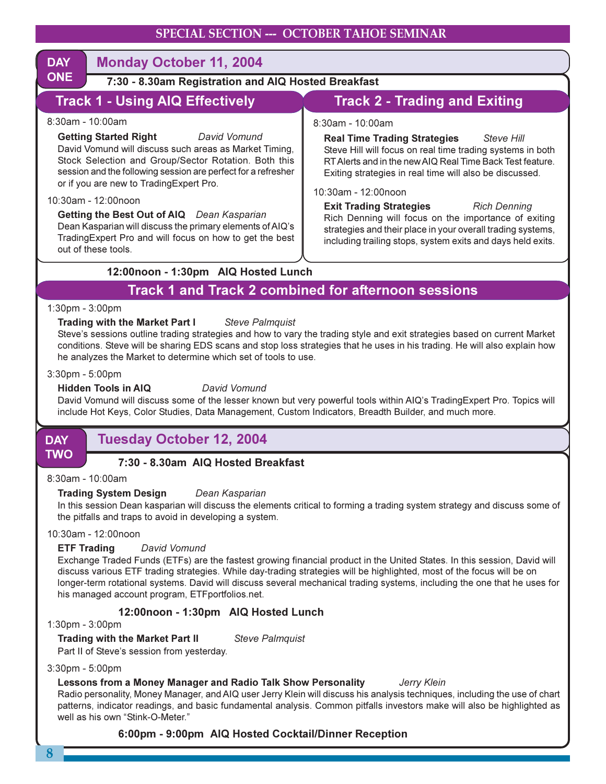| <b>DAY</b>                                                        | <b>Monday October 11, 2004</b>                                                                                                                                                                                                                                                                                                                                                                                                                                                                                         |                                                                                                                                                                                                                                                                                                                                                                                                                                                                                                                         |  |  |  |  |
|-------------------------------------------------------------------|------------------------------------------------------------------------------------------------------------------------------------------------------------------------------------------------------------------------------------------------------------------------------------------------------------------------------------------------------------------------------------------------------------------------------------------------------------------------------------------------------------------------|-------------------------------------------------------------------------------------------------------------------------------------------------------------------------------------------------------------------------------------------------------------------------------------------------------------------------------------------------------------------------------------------------------------------------------------------------------------------------------------------------------------------------|--|--|--|--|
| <b>ONE</b><br>7:30 - 8.30am Registration and AIQ Hosted Breakfast |                                                                                                                                                                                                                                                                                                                                                                                                                                                                                                                        |                                                                                                                                                                                                                                                                                                                                                                                                                                                                                                                         |  |  |  |  |
|                                                                   | <b>Track 1 - Using AIQ Effectively</b>                                                                                                                                                                                                                                                                                                                                                                                                                                                                                 | <b>Track 2 - Trading and Exiting</b>                                                                                                                                                                                                                                                                                                                                                                                                                                                                                    |  |  |  |  |
|                                                                   | $8:30$ am - 10:00am<br><b>Getting Started Right</b><br>David Vomund<br>David Vomund will discuss such areas as Market Timing,<br>Stock Selection and Group/Sector Rotation. Both this<br>session and the following session are perfect for a refresher<br>or if you are new to TradingExpert Pro.<br>10:30am - 12:00noon<br>Getting the Best Out of AIQ Dean Kasparian<br>Dean Kasparian will discuss the primary elements of AIQ's<br>Trading Expert Pro and will focus on how to get the best<br>out of these tools. | $8:30$ am - 10:00am<br><b>Real Time Trading Strategies</b> Steve Hill<br>Steve Hill will focus on real time trading systems in both<br>RT Alerts and in the new AIQ Real Time Back Test feature.<br>Exiting strategies in real time will also be discussed.<br>10:30am - 12:00noon<br><b>Exit Trading Strategies</b> Rich Denning<br>Rich Denning will focus on the importance of exiting<br>strategies and their place in your overall trading systems,<br>including trailing stops, system exits and days held exits. |  |  |  |  |
| 12:00noon - 1:30pm AIQ Hosted Lunch                               |                                                                                                                                                                                                                                                                                                                                                                                                                                                                                                                        |                                                                                                                                                                                                                                                                                                                                                                                                                                                                                                                         |  |  |  |  |
| <b>Track 1 and Track 2 combined for afternoon sessions</b>        |                                                                                                                                                                                                                                                                                                                                                                                                                                                                                                                        |                                                                                                                                                                                                                                                                                                                                                                                                                                                                                                                         |  |  |  |  |
|                                                                   | $1:30 \text{pm} - 3:00 \text{pm}$                                                                                                                                                                                                                                                                                                                                                                                                                                                                                      |                                                                                                                                                                                                                                                                                                                                                                                                                                                                                                                         |  |  |  |  |
|                                                                   | <b>Trading with the Market Part I</b><br><b>Steve Palmquist</b>                                                                                                                                                                                                                                                                                                                                                                                                                                                        |                                                                                                                                                                                                                                                                                                                                                                                                                                                                                                                         |  |  |  |  |

Trading with the Market Part I Steve's sessions outline trading strategies and how to vary the trading style and exit strategies based on current Market conditions. Steve will be sharing EDS scans and stop loss strategies that he uses in his trading. He will also explain how he analyzes the Market to determine which set of tools to use.

## 3:30pm - 5:00pm

#### **Hidden Tools in AIQ**

David Vomund will discuss some of the lesser known but very powerful tools within AIQ's TradingExpert Pro. Topics will include Hot Keys, Color Studies, Data Management, Custom Indicators, Breadth Builder, and much more.

**DAY TWO** 

## **Tuesday October 12, 2004**

## 7:30 - 8.30am AIQ Hosted Breakfast

David Vomund

8:30am - 10:00am

#### **Trading System Design** Dean Kasparian

In this session Dean kasparian will discuss the elements critical to forming a trading system strategy and discuss some of the pitfalls and traps to avoid in developing a system.

10:30am - 12:00noon

#### **ETF Trading** David Vomund

Exchange Traded Funds (ETFs) are the fastest growing financial product in the United States. In this session, David will discuss various ETF trading strategies. While day-trading strategies will be highlighted, most of the focus will be on longer-term rotational systems. David will discuss several mechanical trading systems, including the one that he uses for his managed account program, ETF portfolios.net.

## 12:00noon - 1:30pm AIQ Hosted Lunch

1:30pm - 3:00pm

**Trading with the Market Part II Steve Palmquist** 

Part II of Steve's session from yesterday.

## 3:30pm - 5:00pm

#### **Lessons from a Money Manager and Radio Talk Show Personality** Jerry Klein

Radio personality, Money Manager, and AIQ user Jerry Klein will discuss his analysis techniques, including the use of chart patterns, indicator readings, and basic fundamental analysis. Common pitfalls investors make will also be highlighted as well as his own "Stink-O-Meter."

## 6:00pm - 9:00pm AIQ Hosted Cocktail/Dinner Reception